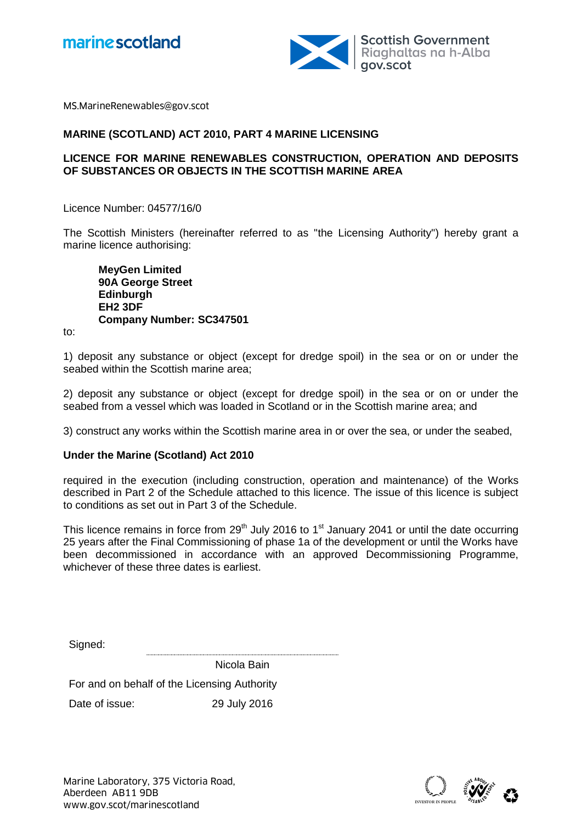



MS.MarineRenewables@gov.scot

### **MARINE (SCOTLAND) ACT 2010, PART 4 MARINE LICENSING**

## **LICENCE FOR MARINE RENEWABLES CONSTRUCTION, OPERATION AND DEPOSITS OF SUBSTANCES OR OBJECTS IN THE SCOTTISH MARINE AREA**

Licence Number: 04577/16/0

The Scottish Ministers (hereinafter referred to as "the Licensing Authority") hereby grant a marine licence authorising:

**MeyGen Limited 90A George Street Edinburgh EH2 3DF Company Number: SC347501**

to:

1) deposit any substance or object (except for dredge spoil) in the sea or on or under the seabed within the Scottish marine area;

2) deposit any substance or object (except for dredge spoil) in the sea or on or under the seabed from a vessel which was loaded in Scotland or in the Scottish marine area; and

3) construct any works within the Scottish marine area in or over the sea, or under the seabed,

#### **Under the Marine (Scotland) Act 2010**

required in the execution (including construction, operation and maintenance) of the Works described in Part 2 of the Schedule attached to this licence. The issue of this licence is subject to conditions as set out in Part 3 of the Schedule.

This licence remains in force from 29<sup>th</sup> July 2016 to 1<sup>st</sup> January 2041 or until the date occurring 25 years after the Final Commissioning of phase 1a of the development or until the Works have been decommissioned in accordance with an approved Decommissioning Programme, whichever of these three dates is earliest.

Signed:

Nicola Bain

For and on behalf of the Licensing Authority

Date of issue: 29 July 2016

Marine Laboratory, 375 Victoria Road, Aberdeen AB11 9DB Marine Laboratory, 375 Victoria Road,<br>Aberdeen AB11 9DB<br>www.gov.scot/marinescotland

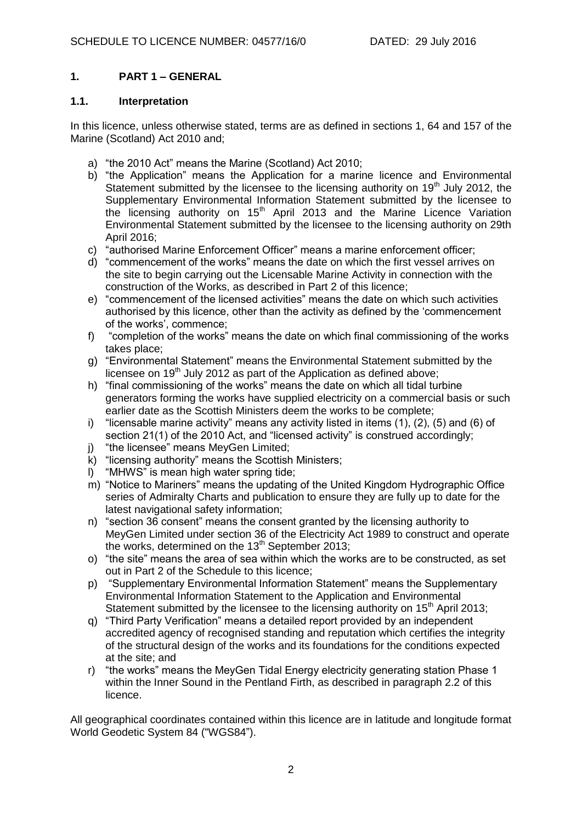# **1. PART 1 – GENERAL**

### **1.1. Interpretation**

In this licence, unless otherwise stated, terms are as defined in sections 1, 64 and 157 of the Marine (Scotland) Act 2010 and;

- a) "the 2010 Act" means the Marine (Scotland) Act 2010;
- b) "the Application" means the Application for a marine licence and Environmental Statement submitted by the licensee to the licensing authority on 19<sup>th</sup> July 2012, the Supplementary Environmental Information Statement submitted by the licensee to the licensing authority on  $15<sup>th</sup>$  April 2013 and the Marine Licence Variation Environmental Statement submitted by the licensee to the licensing authority on 29th April 2016;
- c) "authorised Marine Enforcement Officer" means a marine enforcement officer;
- d) "commencement of the works" means the date on which the first vessel arrives on the site to begin carrying out the Licensable Marine Activity in connection with the construction of the Works, as described in Part 2 of this licence;
- e) "commencement of the licensed activities" means the date on which such activities authorised by this licence, other than the activity as defined by the 'commencement of the works', commence;
- f) "completion of the works" means the date on which final commissioning of the works takes place;
- g) "Environmental Statement" means the Environmental Statement submitted by the licensee on  $19<sup>th</sup>$  July 2012 as part of the Application as defined above;
- h) "final commissioning of the works" means the date on which all tidal turbine generators forming the works have supplied electricity on a commercial basis or such earlier date as the Scottish Ministers deem the works to be complete;
- i) "licensable marine activity" means any activity listed in items  $(1)$ ,  $(2)$ ,  $(5)$  and  $(6)$  of section 21(1) of the 2010 Act, and "licensed activity" is construed accordingly;
- j) "the licensee" means MeyGen Limited;
- k) "licensing authority" means the Scottish Ministers;
- l) "MHWS" is mean high water spring tide;
- m) "Notice to Mariners" means the updating of the United Kingdom Hydrographic Office series of Admiralty Charts and publication to ensure they are fully up to date for the latest navigational safety information;
- n) "section 36 consent" means the consent granted by the licensing authority to MeyGen Limited under section 36 of the Electricity Act 1989 to construct and operate the works, determined on the  $13<sup>th</sup>$  September 2013;
- o) "the site" means the area of sea within which the works are to be constructed, as set out in Part 2 of the Schedule to this licence;
- p) "Supplementary Environmental Information Statement" means the Supplementary Environmental Information Statement to the Application and Environmental Statement submitted by the licensee to the licensing authority on  $15<sup>th</sup>$  April 2013;
- q) "Third Party Verification" means a detailed report provided by an independent accredited agency of recognised standing and reputation which certifies the integrity of the structural design of the works and its foundations for the conditions expected at the site; and
- r) "the works" means the MeyGen Tidal Energy electricity generating station Phase 1 within the Inner Sound in the Pentland Firth, as described in paragraph 2.2 of this licence.

All geographical coordinates contained within this licence are in latitude and longitude format World Geodetic System 84 ("WGS84").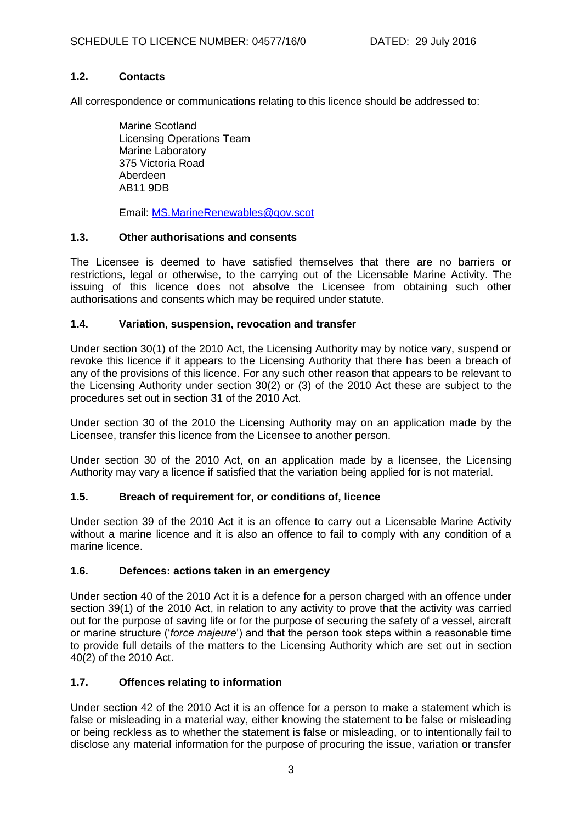# **1.2. Contacts**

All correspondence or communications relating to this licence should be addressed to:

Marine Scotland Licensing Operations Team Marine Laboratory 375 Victoria Road Aberdeen AB11 9DB

Email: [MS.MarineRenewables@gov.scot](mailto:ms.marinerenewables@gov.scot)

#### **1.3. Other authorisations and consents**

The Licensee is deemed to have satisfied themselves that there are no barriers or restrictions, legal or otherwise, to the carrying out of the Licensable Marine Activity. The issuing of this licence does not absolve the Licensee from obtaining such other authorisations and consents which may be required under statute.

## **1.4. Variation, suspension, revocation and transfer**

Under section 30(1) of the 2010 Act, the Licensing Authority may by notice vary, suspend or revoke this licence if it appears to the Licensing Authority that there has been a breach of any of the provisions of this licence. For any such other reason that appears to be relevant to the Licensing Authority under section 30(2) or (3) of the 2010 Act these are subject to the procedures set out in section 31 of the 2010 Act.

Under section 30 of the 2010 the Licensing Authority may on an application made by the Licensee, transfer this licence from the Licensee to another person.

Under section 30 of the 2010 Act, on an application made by a licensee, the Licensing Authority may vary a licence if satisfied that the variation being applied for is not material.

## **1.5. Breach of requirement for, or conditions of, licence**

Under section 39 of the 2010 Act it is an offence to carry out a Licensable Marine Activity without a marine licence and it is also an offence to fail to comply with any condition of a marine licence.

## **1.6. Defences: actions taken in an emergency**

Under section 40 of the 2010 Act it is a defence for a person charged with an offence under section 39(1) of the 2010 Act, in relation to any activity to prove that the activity was carried out for the purpose of saving life or for the purpose of securing the safety of a vessel, aircraft or marine structure ('*force majeure*') and that the person took steps within a reasonable time to provide full details of the matters to the Licensing Authority which are set out in section 40(2) of the 2010 Act.

## **1.7. Offences relating to information**

Under section 42 of the 2010 Act it is an offence for a person to make a statement which is false or misleading in a material way, either knowing the statement to be false or misleading or being reckless as to whether the statement is false or misleading, or to intentionally fail to disclose any material information for the purpose of procuring the issue, variation or transfer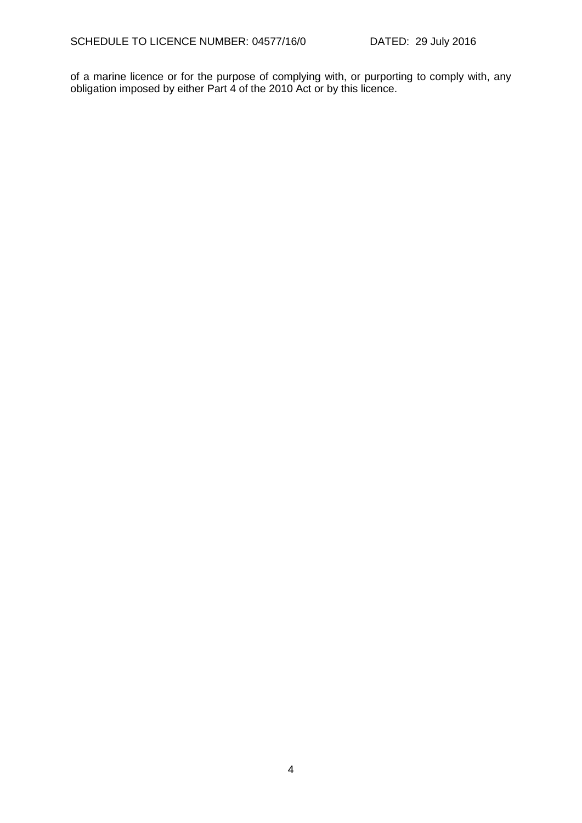of a marine licence or for the purpose of complying with, or purporting to comply with, any obligation imposed by either Part 4 of the 2010 Act or by this licence.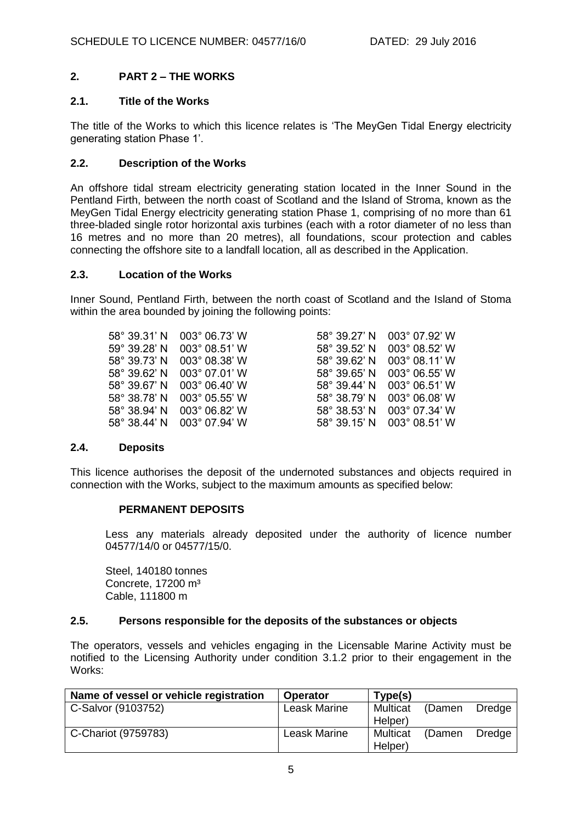# **2. PART 2 – THE WORKS**

## **2.1. Title of the Works**

The title of the Works to which this licence relates is 'The MeyGen Tidal Energy electricity generating station Phase 1'.

## **2.2. Description of the Works**

An offshore tidal stream electricity generating station located in the Inner Sound in the Pentland Firth, between the north coast of Scotland and the Island of Stroma, known as the MeyGen Tidal Energy electricity generating station Phase 1, comprising of no more than 61 three-bladed single rotor horizontal axis turbines (each with a rotor diameter of no less than 16 metres and no more than 20 metres), all foundations, scour protection and cables connecting the offshore site to a landfall location, all as described in the Application.

#### **2.3. Location of the Works**

Inner Sound, Pentland Firth, between the north coast of Scotland and the Island of Stoma within the area bounded by joining the following points:

| 58° 39.31' N 003° 06.73' W | 58° 39.27' N 003° 07.92' W |
|----------------------------|----------------------------|
| 59° 39.28' N 003° 08.51' W | 58° 39.52' N 003° 08.52' W |
| 58° 39.73' N 003° 08.38' W | 58° 39.62' N 003° 08.11' W |
| 58° 39.62' N 003° 07.01' W | 58° 39.65' N 003° 06.55' W |
| 58° 39.67' N 003° 06.40' W | 58° 39.44' N 003° 06.51' W |
| 58° 38.78' N 003° 05.55' W | 58° 38.79' N 003° 06.08' W |
| 58° 38.94' N 003° 06.82' W | 58° 38.53' N 003° 07.34' W |
| 58° 38.44' N 003° 07.94' W | 58° 39.15' N 003° 08.51' W |
|                            |                            |

## **2.4. Deposits**

This licence authorises the deposit of the undernoted substances and objects required in connection with the Works, subject to the maximum amounts as specified below:

## **PERMANENT DEPOSITS**

Less any materials already deposited under the authority of licence number 04577/14/0 or 04577/15/0.

Steel, 140180 tonnes Concrete, 17200 m<sup>3</sup> Cable, 111800 m

## **2.5. Persons responsible for the deposits of the substances or objects**

The operators, vessels and vehicles engaging in the Licensable Marine Activity must be notified to the Licensing Authority under condition [3.1.2](#page-6-0) prior to their engagement in the Works:

| Name of vessel or vehicle registration | <b>Operator</b>     | Type(s)  |        |        |
|----------------------------------------|---------------------|----------|--------|--------|
| C-Salvor (9103752)                     | <b>Leask Marine</b> | Multicat | (Damen | Dredge |
|                                        |                     | Helper)  |        |        |
| C-Chariot (9759783)                    | Leask Marine        | Multicat | (Damen | Dredge |
|                                        |                     | Helper)  |        |        |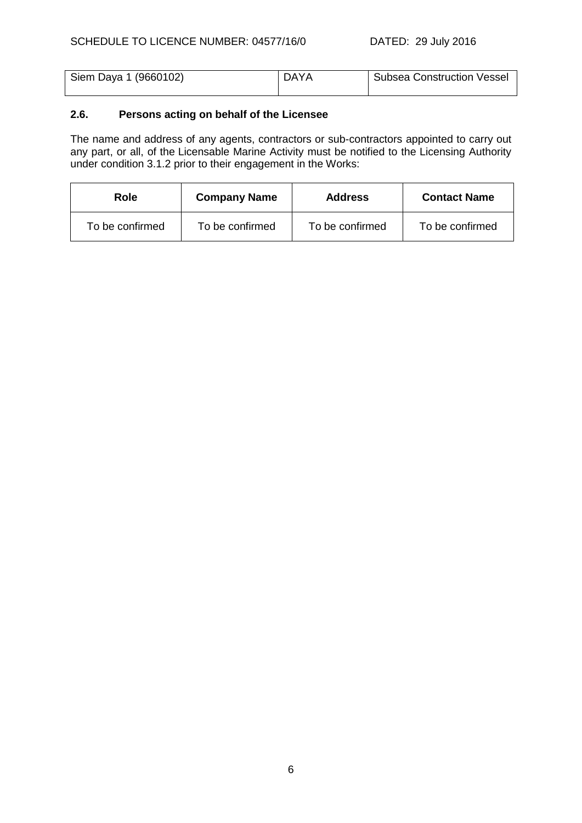| Siem Daya 1 (9660102) | <b>DAYA</b> | Subsea Construction Vessel |
|-----------------------|-------------|----------------------------|
|                       |             |                            |

# **2.6. Persons acting on behalf of the Licensee**

The name and address of any agents, contractors or sub-contractors appointed to carry out any part, or all, of the Licensable Marine Activity must be notified to the Licensing Authority under condition [3.1.2](#page-6-0) prior to their engagement in the Works:

| <b>Role</b>     | <b>Company Name</b> | <b>Address</b>  | <b>Contact Name</b> |
|-----------------|---------------------|-----------------|---------------------|
| To be confirmed | To be confirmed     | To be confirmed | To be confirmed     |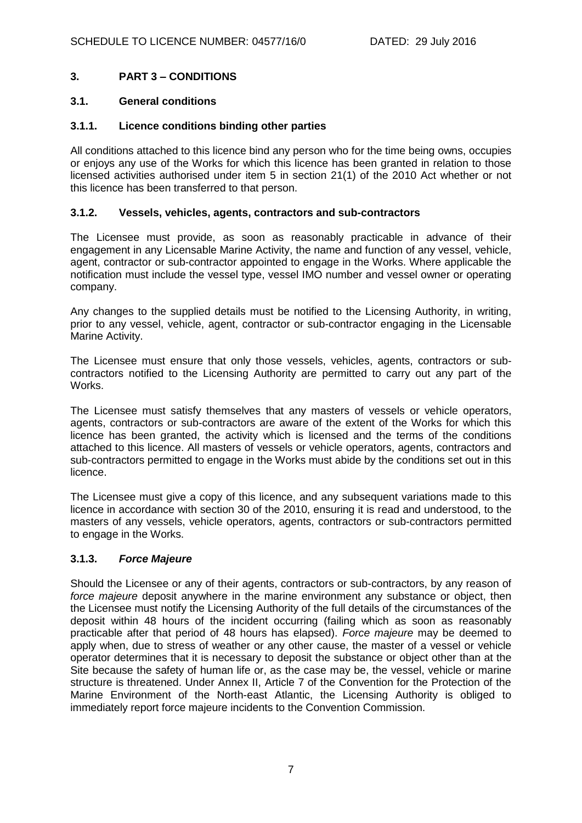# **3. PART 3 – CONDITIONS**

## **3.1. General conditions**

### **3.1.1. Licence conditions binding other parties**

All conditions attached to this licence bind any person who for the time being owns, occupies or enjoys any use of the Works for which this licence has been granted in relation to those licensed activities authorised under item 5 in section 21(1) of the 2010 Act whether or not this licence has been transferred to that person.

### <span id="page-6-0"></span>**3.1.2. Vessels, vehicles, agents, contractors and sub-contractors**

The Licensee must provide, as soon as reasonably practicable in advance of their engagement in any Licensable Marine Activity, the name and function of any vessel, vehicle, agent, contractor or sub-contractor appointed to engage in the Works. Where applicable the notification must include the vessel type, vessel IMO number and vessel owner or operating company.

Any changes to the supplied details must be notified to the Licensing Authority, in writing, prior to any vessel, vehicle, agent, contractor or sub-contractor engaging in the Licensable Marine Activity.

The Licensee must ensure that only those vessels, vehicles, agents, contractors or subcontractors notified to the Licensing Authority are permitted to carry out any part of the Works.

The Licensee must satisfy themselves that any masters of vessels or vehicle operators, agents, contractors or sub-contractors are aware of the extent of the Works for which this licence has been granted, the activity which is licensed and the terms of the conditions attached to this licence. All masters of vessels or vehicle operators, agents, contractors and sub-contractors permitted to engage in the Works must abide by the conditions set out in this licence.

The Licensee must give a copy of this licence, and any subsequent variations made to this licence in accordance with section 30 of the 2010, ensuring it is read and understood, to the masters of any vessels, vehicle operators, agents, contractors or sub-contractors permitted to engage in the Works.

## **3.1.3.** *Force Majeure*

Should the Licensee or any of their agents, contractors or sub-contractors, by any reason of *force majeure* deposit anywhere in the marine environment any substance or object, then the Licensee must notify the Licensing Authority of the full details of the circumstances of the deposit within 48 hours of the incident occurring (failing which as soon as reasonably practicable after that period of 48 hours has elapsed). *Force majeure* may be deemed to apply when, due to stress of weather or any other cause, the master of a vessel or vehicle operator determines that it is necessary to deposit the substance or object other than at the Site because the safety of human life or, as the case may be, the vessel, vehicle or marine structure is threatened. Under Annex II, Article 7 of the Convention for the Protection of the Marine Environment of the North-east Atlantic, the Licensing Authority is obliged to immediately report force majeure incidents to the Convention Commission.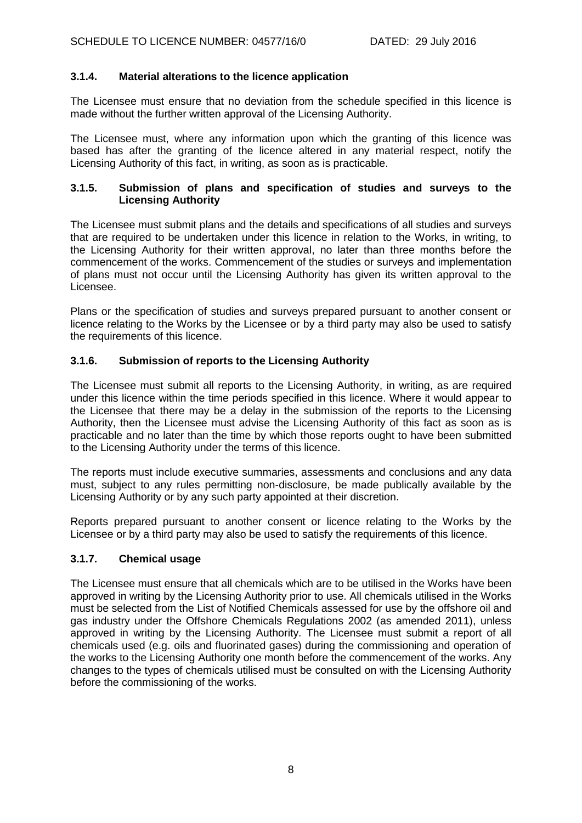# **3.1.4. Material alterations to the licence application**

The Licensee must ensure that no deviation from the schedule specified in this licence is made without the further written approval of the Licensing Authority.

The Licensee must, where any information upon which the granting of this licence was based has after the granting of the licence altered in any material respect, notify the Licensing Authority of this fact, in writing, as soon as is practicable.

## **3.1.5. Submission of plans and specification of studies and surveys to the Licensing Authority**

The Licensee must submit plans and the details and specifications of all studies and surveys that are required to be undertaken under this licence in relation to the Works, in writing, to the Licensing Authority for their written approval, no later than three months before the commencement of the works. Commencement of the studies or surveys and implementation of plans must not occur until the Licensing Authority has given its written approval to the Licensee.

Plans or the specification of studies and surveys prepared pursuant to another consent or licence relating to the Works by the Licensee or by a third party may also be used to satisfy the requirements of this licence.

# **3.1.6. Submission of reports to the Licensing Authority**

The Licensee must submit all reports to the Licensing Authority, in writing, as are required under this licence within the time periods specified in this licence. Where it would appear to the Licensee that there may be a delay in the submission of the reports to the Licensing Authority, then the Licensee must advise the Licensing Authority of this fact as soon as is practicable and no later than the time by which those reports ought to have been submitted to the Licensing Authority under the terms of this licence.

The reports must include executive summaries, assessments and conclusions and any data must, subject to any rules permitting non-disclosure, be made publically available by the Licensing Authority or by any such party appointed at their discretion.

Reports prepared pursuant to another consent or licence relating to the Works by the Licensee or by a third party may also be used to satisfy the requirements of this licence.

## **3.1.7. Chemical usage**

The Licensee must ensure that all chemicals which are to be utilised in the Works have been approved in writing by the Licensing Authority prior to use. All chemicals utilised in the Works must be selected from the List of Notified Chemicals assessed for use by the offshore oil and gas industry under the Offshore Chemicals Regulations 2002 (as amended 2011), unless approved in writing by the Licensing Authority. The Licensee must submit a report of all chemicals used (e.g. oils and fluorinated gases) during the commissioning and operation of the works to the Licensing Authority one month before the commencement of the works. Any changes to the types of chemicals utilised must be consulted on with the Licensing Authority before the commissioning of the works.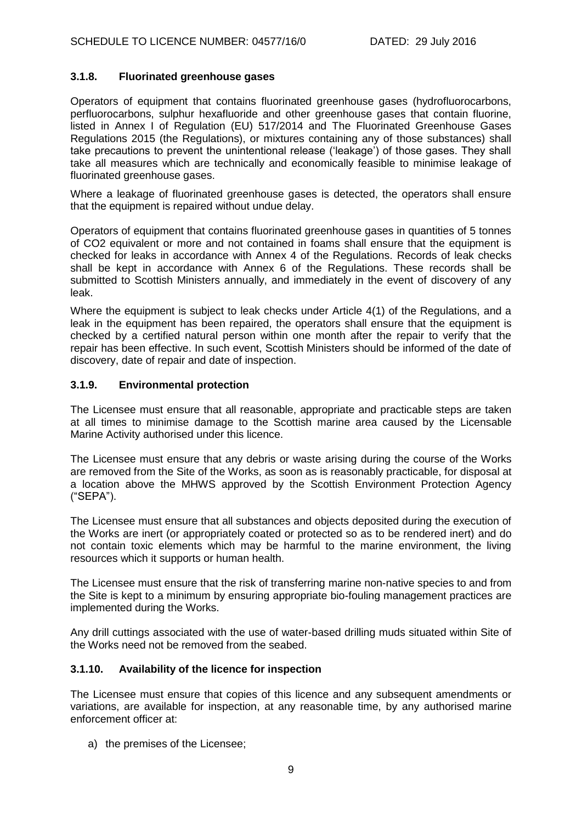## **3.1.8. Fluorinated greenhouse gases**

Operators of equipment that contains fluorinated greenhouse gases (hydrofluorocarbons, perfluorocarbons, sulphur hexafluoride and other greenhouse gases that contain fluorine, listed in Annex I of Regulation (EU) 517/2014 and The Fluorinated Greenhouse Gases Regulations 2015 (the Regulations), or mixtures containing any of those substances) shall take precautions to prevent the unintentional release ('leakage') of those gases. They shall take all measures which are technically and economically feasible to minimise leakage of fluorinated greenhouse gases.

Where a leakage of fluorinated greenhouse gases is detected, the operators shall ensure that the equipment is repaired without undue delay.

Operators of equipment that contains fluorinated greenhouse gases in quantities of 5 tonnes of CO2 equivalent or more and not contained in foams shall ensure that the equipment is checked for leaks in accordance with Annex 4 of the Regulations. Records of leak checks shall be kept in accordance with Annex 6 of the Regulations. These records shall be submitted to Scottish Ministers annually, and immediately in the event of discovery of any leak.

Where the equipment is subject to leak checks under Article 4(1) of the Regulations, and a leak in the equipment has been repaired, the operators shall ensure that the equipment is checked by a certified natural person within one month after the repair to verify that the repair has been effective. In such event, Scottish Ministers should be informed of the date of discovery, date of repair and date of inspection.

# **3.1.9. Environmental protection**

The Licensee must ensure that all reasonable, appropriate and practicable steps are taken at all times to minimise damage to the Scottish marine area caused by the Licensable Marine Activity authorised under this licence.

The Licensee must ensure that any debris or waste arising during the course of the Works are removed from the Site of the Works, as soon as is reasonably practicable, for disposal at a location above the MHWS approved by the Scottish Environment Protection Agency ("SEPA").

The Licensee must ensure that all substances and objects deposited during the execution of the Works are inert (or appropriately coated or protected so as to be rendered inert) and do not contain toxic elements which may be harmful to the marine environment, the living resources which it supports or human health.

The Licensee must ensure that the risk of transferring marine non-native species to and from the Site is kept to a minimum by ensuring appropriate bio-fouling management practices are implemented during the Works.

Any drill cuttings associated with the use of water-based drilling muds situated within Site of the Works need not be removed from the seabed.

# **3.1.10. Availability of the licence for inspection**

The Licensee must ensure that copies of this licence and any subsequent amendments or variations, are available for inspection, at any reasonable time, by any authorised marine enforcement officer at:

a) the premises of the Licensee;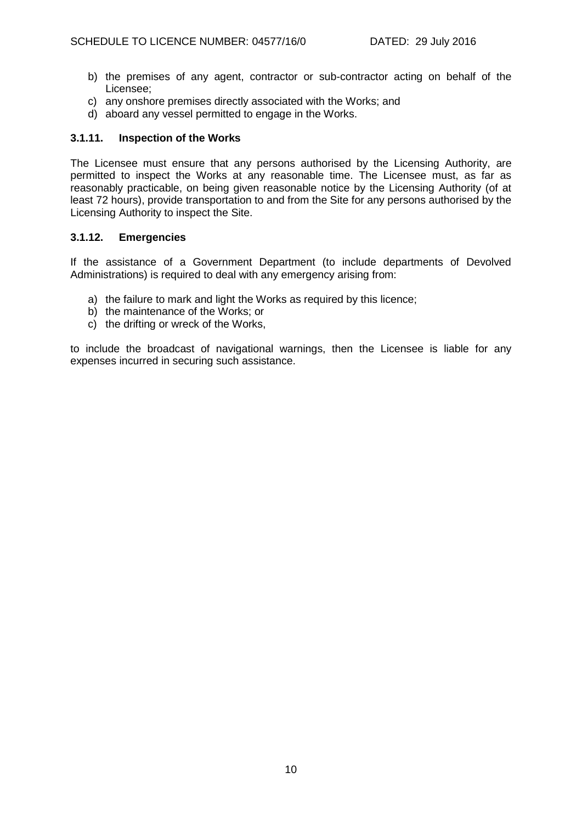- b) the premises of any agent, contractor or sub-contractor acting on behalf of the Licensee;
- c) any onshore premises directly associated with the Works; and
- d) aboard any vessel permitted to engage in the Works.

## **3.1.11. Inspection of the Works**

The Licensee must ensure that any persons authorised by the Licensing Authority, are permitted to inspect the Works at any reasonable time. The Licensee must, as far as reasonably practicable, on being given reasonable notice by the Licensing Authority (of at least 72 hours), provide transportation to and from the Site for any persons authorised by the Licensing Authority to inspect the Site.

## **3.1.12. Emergencies**

If the assistance of a Government Department (to include departments of Devolved Administrations) is required to deal with any emergency arising from:

- a) the failure to mark and light the Works as required by this licence;
- b) the maintenance of the Works; or
- c) the drifting or wreck of the Works,

to include the broadcast of navigational warnings, then the Licensee is liable for any expenses incurred in securing such assistance.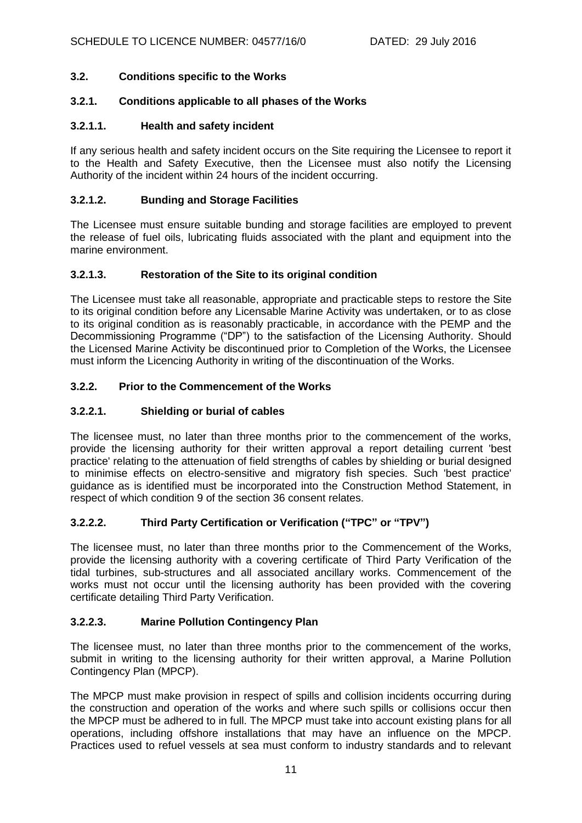# **3.2. Conditions specific to the Works**

# **3.2.1. Conditions applicable to all phases of the Works**

## **3.2.1.1. Health and safety incident**

If any serious health and safety incident occurs on the Site requiring the Licensee to report it to the Health and Safety Executive, then the Licensee must also notify the Licensing Authority of the incident within 24 hours of the incident occurring.

## **3.2.1.2. Bunding and Storage Facilities**

The Licensee must ensure suitable bunding and storage facilities are employed to prevent the release of fuel oils, lubricating fluids associated with the plant and equipment into the marine environment.

# **3.2.1.3. Restoration of the Site to its original condition**

The Licensee must take all reasonable, appropriate and practicable steps to restore the Site to its original condition before any Licensable Marine Activity was undertaken, or to as close to its original condition as is reasonably practicable, in accordance with the PEMP and the Decommissioning Programme ("DP") to the satisfaction of the Licensing Authority. Should the Licensed Marine Activity be discontinued prior to Completion of the Works, the Licensee must inform the Licencing Authority in writing of the discontinuation of the Works.

# **3.2.2. Prior to the Commencement of the Works**

# **3.2.2.1. Shielding or burial of cables**

The licensee must, no later than three months prior to the commencement of the works, provide the licensing authority for their written approval a report detailing current 'best practice' relating to the attenuation of field strengths of cables by shielding or burial designed to minimise effects on electro-sensitive and migratory fish species. Such 'best practice' guidance as is identified must be incorporated into the Construction Method Statement, in respect of which condition 9 of the section 36 consent relates.

# **3.2.2.2. Third Party Certification or Verification ("TPC" or "TPV")**

The licensee must, no later than three months prior to the Commencement of the Works, provide the licensing authority with a covering certificate of Third Party Verification of the tidal turbines, sub-structures and all associated ancillary works. Commencement of the works must not occur until the licensing authority has been provided with the covering certificate detailing Third Party Verification.

## **3.2.2.3. Marine Pollution Contingency Plan**

The licensee must, no later than three months prior to the commencement of the works, submit in writing to the licensing authority for their written approval, a Marine Pollution Contingency Plan (MPCP).

The MPCP must make provision in respect of spills and collision incidents occurring during the construction and operation of the works and where such spills or collisions occur then the MPCP must be adhered to in full. The MPCP must take into account existing plans for all operations, including offshore installations that may have an influence on the MPCP. Practices used to refuel vessels at sea must conform to industry standards and to relevant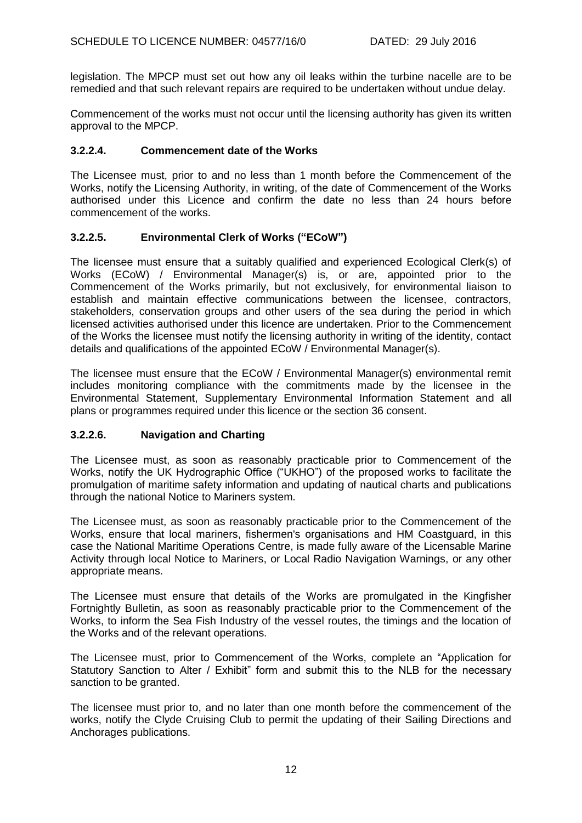legislation. The MPCP must set out how any oil leaks within the turbine nacelle are to be remedied and that such relevant repairs are required to be undertaken without undue delay.

Commencement of the works must not occur until the licensing authority has given its written approval to the MPCP.

## **3.2.2.4. Commencement date of the Works**

The Licensee must, prior to and no less than 1 month before the Commencement of the Works, notify the Licensing Authority, in writing, of the date of Commencement of the Works authorised under this Licence and confirm the date no less than 24 hours before commencement of the works.

# **3.2.2.5. Environmental Clerk of Works ("ECoW")**

The licensee must ensure that a suitably qualified and experienced Ecological Clerk(s) of Works (ECoW) / Environmental Manager(s) is, or are, appointed prior to the Commencement of the Works primarily, but not exclusively, for environmental liaison to establish and maintain effective communications between the licensee, contractors, stakeholders, conservation groups and other users of the sea during the period in which licensed activities authorised under this licence are undertaken. Prior to the Commencement of the Works the licensee must notify the licensing authority in writing of the identity, contact details and qualifications of the appointed ECoW / Environmental Manager(s).

The licensee must ensure that the ECoW / Environmental Manager(s) environmental remit includes monitoring compliance with the commitments made by the licensee in the Environmental Statement, Supplementary Environmental Information Statement and all plans or programmes required under this licence or the section 36 consent.

## **3.2.2.6. Navigation and Charting**

The Licensee must, as soon as reasonably practicable prior to Commencement of the Works, notify the UK Hydrographic Office ("UKHO") of the proposed works to facilitate the promulgation of maritime safety information and updating of nautical charts and publications through the national Notice to Mariners system.

The Licensee must, as soon as reasonably practicable prior to the Commencement of the Works, ensure that local mariners, fishermen's organisations and HM Coastguard, in this case the National Maritime Operations Centre, is made fully aware of the Licensable Marine Activity through local Notice to Mariners, or Local Radio Navigation Warnings, or any other appropriate means.

The Licensee must ensure that details of the Works are promulgated in the Kingfisher Fortnightly Bulletin, as soon as reasonably practicable prior to the Commencement of the Works, to inform the Sea Fish Industry of the vessel routes, the timings and the location of the Works and of the relevant operations.

The Licensee must, prior to Commencement of the Works, complete an "Application for Statutory Sanction to Alter / Exhibit" form and submit this to the NLB for the necessary sanction to be granted.

The licensee must prior to, and no later than one month before the commencement of the works, notify the Clyde Cruising Club to permit the updating of their Sailing Directions and Anchorages publications.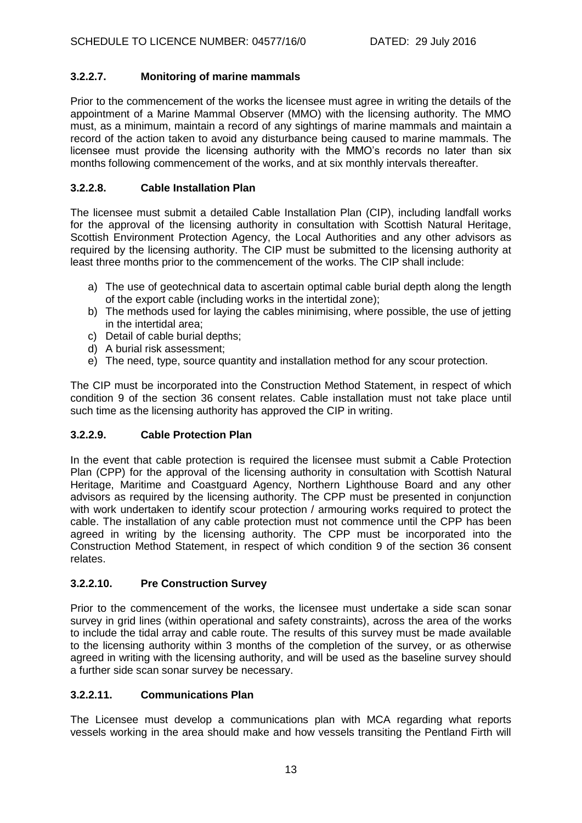# **3.2.2.7. Monitoring of marine mammals**

Prior to the commencement of the works the licensee must agree in writing the details of the appointment of a Marine Mammal Observer (MMO) with the licensing authority. The MMO must, as a minimum, maintain a record of any sightings of marine mammals and maintain a record of the action taken to avoid any disturbance being caused to marine mammals. The licensee must provide the licensing authority with the MMO's records no later than six months following commencement of the works, and at six monthly intervals thereafter.

# **3.2.2.8. Cable Installation Plan**

The licensee must submit a detailed Cable Installation Plan (CIP), including landfall works for the approval of the licensing authority in consultation with Scottish Natural Heritage, Scottish Environment Protection Agency, the Local Authorities and any other advisors as required by the licensing authority. The CIP must be submitted to the licensing authority at least three months prior to the commencement of the works. The CIP shall include:

- a) The use of geotechnical data to ascertain optimal cable burial depth along the length of the export cable (including works in the intertidal zone);
- b) The methods used for laying the cables minimising, where possible, the use of jetting in the intertidal area;
- c) Detail of cable burial depths;
- d) A burial risk assessment;
- e) The need, type, source quantity and installation method for any scour protection.

The CIP must be incorporated into the Construction Method Statement, in respect of which condition 9 of the section 36 consent relates. Cable installation must not take place until such time as the licensing authority has approved the CIP in writing.

# **3.2.2.9. Cable Protection Plan**

In the event that cable protection is required the licensee must submit a Cable Protection Plan (CPP) for the approval of the licensing authority in consultation with Scottish Natural Heritage, Maritime and Coastguard Agency, Northern Lighthouse Board and any other advisors as required by the licensing authority. The CPP must be presented in conjunction with work undertaken to identify scour protection / armouring works required to protect the cable. The installation of any cable protection must not commence until the CPP has been agreed in writing by the licensing authority. The CPP must be incorporated into the Construction Method Statement, in respect of which condition 9 of the section 36 consent relates.

# **3.2.2.10. Pre Construction Survey**

Prior to the commencement of the works, the licensee must undertake a side scan sonar survey in grid lines (within operational and safety constraints), across the area of the works to include the tidal array and cable route. The results of this survey must be made available to the licensing authority within 3 months of the completion of the survey, or as otherwise agreed in writing with the licensing authority, and will be used as the baseline survey should a further side scan sonar survey be necessary.

# **3.2.2.11. Communications Plan**

The Licensee must develop a communications plan with MCA regarding what reports vessels working in the area should make and how vessels transiting the Pentland Firth will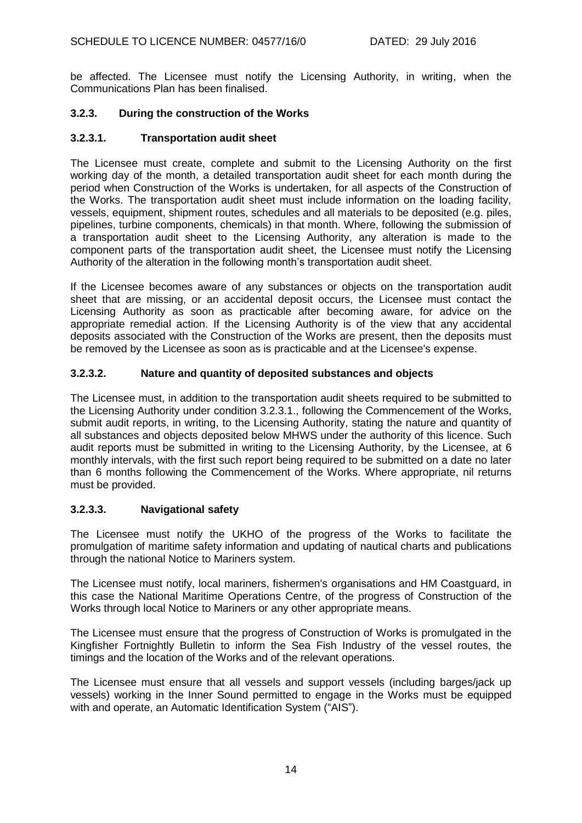be affected. The Licensee must notify the Licensing Authority, in writing, when the Communications Plan has been finalised.

# **3.2.3. During the construction of the Works**

# **3.2.3.1. Transportation audit sheet**

The Licensee must create, complete and submit to the Licensing Authority on the first working day of the month, a detailed transportation audit sheet for each month during the period when Construction of the Works is undertaken, for all aspects of the Construction of the Works. The transportation audit sheet must include information on the loading facility, vessels, equipment, shipment routes, schedules and all materials to be deposited (e.g. piles, pipelines, turbine components, chemicals) in that month. Where, following the submission of a transportation audit sheet to the Licensing Authority, any alteration is made to the component parts of the transportation audit sheet, the Licensee must notify the Licensing Authority of the alteration in the following month's transportation audit sheet.

If the Licensee becomes aware of any substances or objects on the transportation audit sheet that are missing, or an accidental deposit occurs, the Licensee must contact the Licensing Authority as soon as practicable after becoming aware, for advice on the appropriate remedial action. If the Licensing Authority is of the view that any accidental deposits associated with the Construction of the Works are present, then the deposits must be removed by the Licensee as soon as is practicable and at the Licensee's expense.

# **3.2.3.2. Nature and quantity of deposited substances and objects**

The Licensee must, in addition to the transportation audit sheets required to be submitted to the Licensing Authority under condition 3.2.3.1., following the Commencement of the Works, submit audit reports, in writing, to the Licensing Authority, stating the nature and quantity of all substances and objects deposited below MHWS under the authority of this licence. Such audit reports must be submitted in writing to the Licensing Authority, by the Licensee, at 6 monthly intervals, with the first such report being required to be submitted on a date no later than 6 months following the Commencement of the Works. Where appropriate, nil returns must be provided.

# **3.2.3.3. Navigational safety**

The Licensee must notify the UKHO of the progress of the Works to facilitate the promulgation of maritime safety information and updating of nautical charts and publications through the national Notice to Mariners system.

The Licensee must notify, local mariners, fishermen's organisations and HM Coastguard, in this case the National Maritime Operations Centre, of the progress of Construction of the Works through local Notice to Mariners or any other appropriate means.

The Licensee must ensure that the progress of Construction of Works is promulgated in the Kingfisher Fortnightly Bulletin to inform the Sea Fish Industry of the vessel routes, the timings and the location of the Works and of the relevant operations.

The Licensee must ensure that all vessels and support vessels (including barges/jack up vessels) working in the Inner Sound permitted to engage in the Works must be equipped with and operate, an Automatic Identification System ("AIS").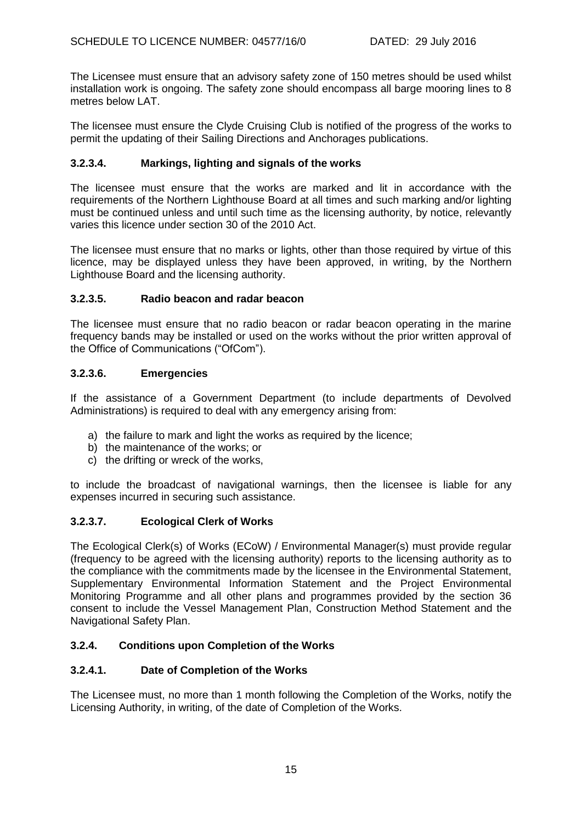The Licensee must ensure that an advisory safety zone of 150 metres should be used whilst installation work is ongoing. The safety zone should encompass all barge mooring lines to 8 metres below LAT.

The licensee must ensure the Clyde Cruising Club is notified of the progress of the works to permit the updating of their Sailing Directions and Anchorages publications.

# **3.2.3.4. Markings, lighting and signals of the works**

The licensee must ensure that the works are marked and lit in accordance with the requirements of the Northern Lighthouse Board at all times and such marking and/or lighting must be continued unless and until such time as the licensing authority, by notice, relevantly varies this licence under section 30 of the 2010 Act.

The licensee must ensure that no marks or lights, other than those required by virtue of this licence, may be displayed unless they have been approved, in writing, by the Northern Lighthouse Board and the licensing authority.

# **3.2.3.5. Radio beacon and radar beacon**

The licensee must ensure that no radio beacon or radar beacon operating in the marine frequency bands may be installed or used on the works without the prior written approval of the Office of Communications ("OfCom").

## **3.2.3.6. Emergencies**

If the assistance of a Government Department (to include departments of Devolved Administrations) is required to deal with any emergency arising from:

- a) the failure to mark and light the works as required by the licence;
- b) the maintenance of the works; or
- c) the drifting or wreck of the works,

to include the broadcast of navigational warnings, then the licensee is liable for any expenses incurred in securing such assistance.

# **3.2.3.7. Ecological Clerk of Works**

The Ecological Clerk(s) of Works (ECoW) / Environmental Manager(s) must provide regular (frequency to be agreed with the licensing authority) reports to the licensing authority as to the compliance with the commitments made by the licensee in the Environmental Statement, Supplementary Environmental Information Statement and the Project Environmental Monitoring Programme and all other plans and programmes provided by the section 36 consent to include the Vessel Management Plan, Construction Method Statement and the Navigational Safety Plan.

# **3.2.4. Conditions upon Completion of the Works**

## **3.2.4.1. Date of Completion of the Works**

The Licensee must, no more than 1 month following the Completion of the Works, notify the Licensing Authority, in writing, of the date of Completion of the Works.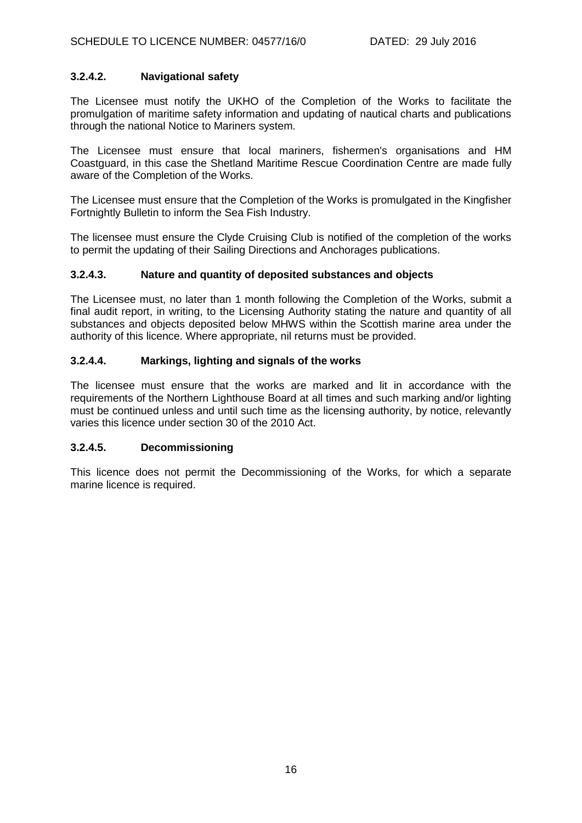# **3.2.4.2. Navigational safety**

The Licensee must notify the UKHO of the Completion of the Works to facilitate the promulgation of maritime safety information and updating of nautical charts and publications through the national Notice to Mariners system.

The Licensee must ensure that local mariners, fishermen's organisations and HM Coastguard, in this case the Shetland Maritime Rescue Coordination Centre are made fully aware of the Completion of the Works.

The Licensee must ensure that the Completion of the Works is promulgated in the Kingfisher Fortnightly Bulletin to inform the Sea Fish Industry.

The licensee must ensure the Clyde Cruising Club is notified of the completion of the works to permit the updating of their Sailing Directions and Anchorages publications.

## **3.2.4.3. Nature and quantity of deposited substances and objects**

The Licensee must, no later than 1 month following the Completion of the Works, submit a final audit report, in writing, to the Licensing Authority stating the nature and quantity of all substances and objects deposited below MHWS within the Scottish marine area under the authority of this licence. Where appropriate, nil returns must be provided.

# **3.2.4.4. Markings, lighting and signals of the works**

The licensee must ensure that the works are marked and lit in accordance with the requirements of the Northern Lighthouse Board at all times and such marking and/or lighting must be continued unless and until such time as the licensing authority, by notice, relevantly varies this licence under section 30 of the 2010 Act.

## **3.2.4.5. Decommissioning**

This licence does not permit the Decommissioning of the Works, for which a separate marine licence is required.